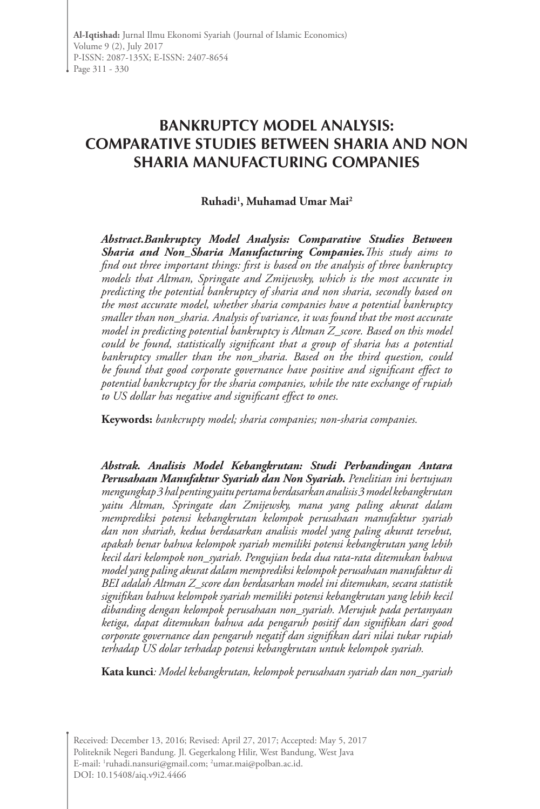# **BANKRUPTCY MODEL ANALYSIS: COMPARATIVE STUDIES BETWEEN SHARIA AND NON SHARIA MANUFACTURING COMPANIES**

### **Ruhadi1 , Muhamad Umar Mai2**

*Abstract.Bankruptcy Model Analysis: Comparative Studies Between Sharia and Non\_Sharia Manufacturing Companies.This study aims to find out three important things: first is based on the analysis of three bankruptcy models that Altman, Springate and Zmijewsky, which is the most accurate in predicting the potential bankruptcy of sharia and non sharia, secondly based on the most accurate model, whether sharia companies have a potential bankruptcy smaller than non\_sharia. Analysis of variance, it was found that the most accurate model in predicting potential bankruptcy is Altman Z\_score. Based on this model could be found, statistically significant that a group of sharia has a potential bankruptcy smaller than the non\_sharia. Based on the third question, could be found that good corporate governance have positive and significant effect to potential bankcruptcy for the sharia companies, while the rate exchange of rupiah to US dollar has negative and significant effect to ones.* 

**Keywords:** *bankcrupty model; sharia companies; non-sharia companies.*

*Abstrak. Analisis Model Kebangkrutan: Studi Perbandingan Antara Perusahaan Manufaktur Syariah dan Non Syariah. Penelitian ini bertujuan mengungkap 3 hal penting yaitu pertama berdasarkan analisis 3 model kebangkrutan yaitu Altman, Springate dan Zmijewsky, mana yang paling akurat dalam memprediksi potensi kebangkrutan kelompok perusahaan manufaktur syariah dan non shariah, kedua berdasarkan analisis model yang paling akurat tersebut, apakah benar bahwa kelompok syariah memiliki potensi kebangkrutan yang lebih kecil dari kelompok non\_syariah. Pengujian beda dua rata-rata ditemukan bahwa model yang paling akurat dalam memprediksi kelompok perusahaan manufaktur di BEI adalah Altman Z\_score dan berdasarkan model ini ditemukan, secara statistik signifikan bahwa kelompok syariah memiliki potensi kebangkrutan yang lebih kecil dibanding dengan kelompok perusahaan non\_syariah. Merujuk pada pertanyaan ketiga, dapat ditemukan bahwa ada pengaruh positif dan signifikan dari good corporate governance dan pengaruh negatif dan signifikan dari nilai tukar rupiah terhadap US dolar terhadap potensi kebangkrutan untuk kelompok syariah.* 

**Kata kunci***: Model kebangkrutan, kelompok perusahaan syariah dan non\_syariah*

Received: December 13, 2016; Revised: April 27, 2017; Accepted: May 5, 2017 Politeknik Negeri Bandung. Jl. Gegerkalong Hilir, West Bandung, West Java E-mail: <sup>1</sup>ruhadi.nansuri@gmail.com; <sup>2</sup>umar.mai@polban.ac.id. DOI: 10.15408/aiq.v9i2.4466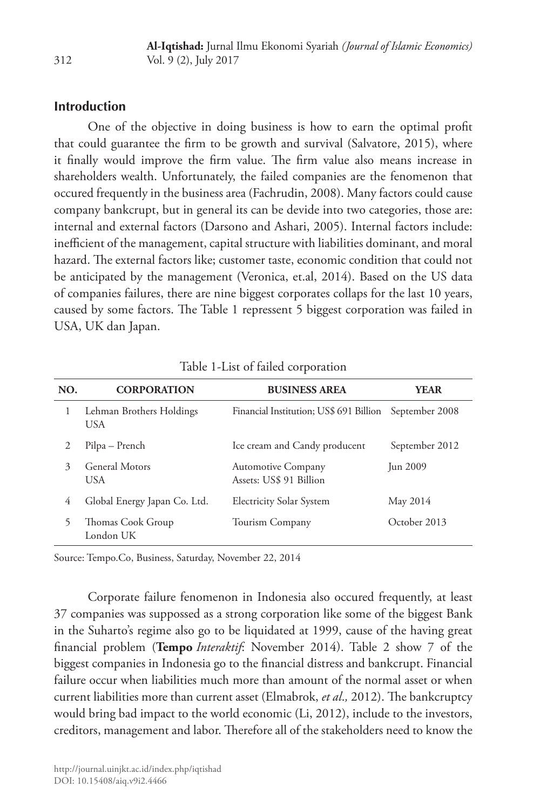#### **Introduction**

One of the objective in doing business is how to earn the optimal profit that could guarantee the firm to be growth and survival (Salvatore, 2015), where it finally would improve the firm value. The firm value also means increase in shareholders wealth. Unfortunately, the failed companies are the fenomenon that occured frequently in the business area (Fachrudin, 2008). Many factors could cause company bankcrupt, but in general its can be devide into two categories, those are: internal and external factors (Darsono and Ashari, 2005). Internal factors include: inefficient of the management, capital structure with liabilities dominant, and moral hazard. The external factors like; customer taste, economic condition that could not be anticipated by the management (Veronica, et.al, 2014). Based on the US data of companies failures, there are nine biggest corporates collaps for the last 10 years, caused by some factors. The Table 1 repressent 5 biggest corporation was failed in USA, UK dan Japan.

| NO.                         | <b>CORPORATION</b>               | <b>BUSINESS AREA</b>                                 | <b>YEAR</b>    |  |
|-----------------------------|----------------------------------|------------------------------------------------------|----------------|--|
| 1                           | Lehman Brothers Holdings<br>USA. | Financial Institution; US\$ 691 Billion              | September 2008 |  |
| 2                           | Pilpa – Prench                   | Ice cream and Candy producent                        | September 2012 |  |
| $\mathcal{Z}_{\mathcal{A}}$ | General Motors<br><b>USA</b>     | <b>Automotive Company</b><br>Assets: US\$ 91 Billion | Jun 2009       |  |
| 4                           | Global Energy Japan Co. Ltd.     | <b>Electricity Solar System</b>                      | May 2014       |  |
| 5                           | Thomas Cook Group<br>London UK   | Tourism Company                                      | October 2013   |  |

Table 1-List of failed corporation

Source: Tempo.Co, Business, Saturday, November 22, 2014

Corporate failure fenomenon in Indonesia also occured frequently, at least 37 companies was suppossed as a strong corporation like some of the biggest Bank in the Suharto's regime also go to be liquidated at 1999, cause of the having great financial problem (**Tempo** *Interaktif*: November 2014). Table 2 show 7 of the biggest companies in Indonesia go to the financial distress and bankcrupt. Financial failure occur when liabilities much more than amount of the normal asset or when current liabilities more than current asset (Elmabrok, *et al*.*,* 2012). The bankcruptcy would bring bad impact to the world economic (Li, 2012), include to the investors, creditors, management and labor. Therefore all of the stakeholders need to know the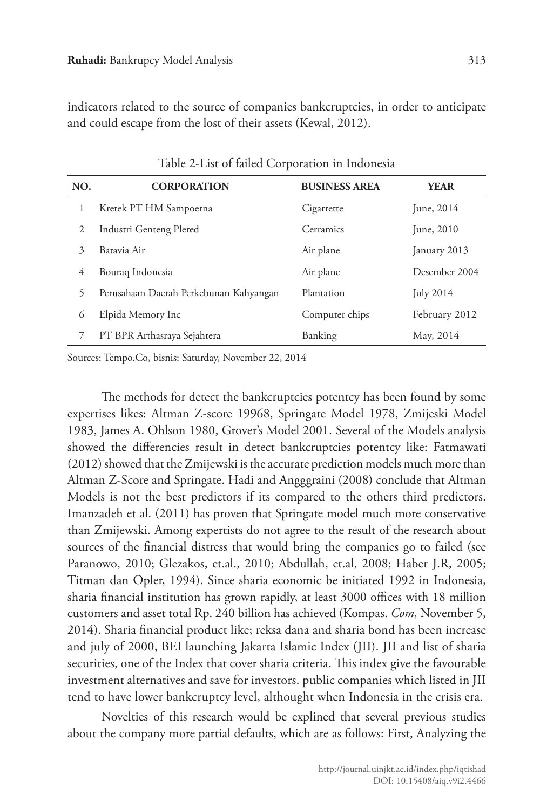indicators related to the source of companies bankcruptcies, in order to anticipate and could escape from the lost of their assets (Kewal, 2012).

| NO. | <b>CORPORATION</b>                     | <b>BUSINESS AREA</b> | <b>YEAR</b>   |
|-----|----------------------------------------|----------------------|---------------|
| 1   | Kretek PT HM Sampoerna                 | Cigarrette           | June, 2014    |
| 2   | Industri Genteng Plered                | Cerramics            | June, 2010    |
| 3   | Batavia Air                            | Air plane            | January 2013  |
| 4   | Bouraq Indonesia                       | Air plane            | Desember 2004 |
| 5   | Perusahaan Daerah Perkebunan Kahyangan | Plantation           | July 2014     |
| 6   | Elpida Memory Inc                      | Computer chips       | February 2012 |
| 7   | PT BPR Arthasraya Sejahtera            | Banking              | May, 2014     |

Table 2-List of failed Corporation in Indonesia

Sources: Tempo.Co, bisnis: Saturday, November 22, 2014

The methods for detect the bankcruptcies potentcy has been found by some expertises likes: Altman Z-score 19968, Springate Model 1978, Zmijeski Model 1983, James A. Ohlson 1980, Grover's Model 2001. Several of the Models analysis showed the differencies result in detect bankcruptcies potentcy like: Fatmawati (2012) showed that the Zmijewski is the accurate prediction models much more than Altman Z-Score and Springate. Hadi and Angggraini (2008) conclude that Altman Models is not the best predictors if its compared to the others third predictors. Imanzadeh et al. (2011) has proven that Springate model much more conservative than Zmijewski. Among expertists do not agree to the result of the research about sources of the financial distress that would bring the companies go to failed (see Paranowo, 2010; Glezakos, et.al., 2010; Abdullah, et.al, 2008; Haber J.R, 2005; Titman dan Opler, 1994). Since sharia economic be initiated 1992 in Indonesia, sharia financial institution has grown rapidly, at least 3000 offices with 18 million customers and asset total Rp. 240 billion has achieved (Kompas. *Com*, November 5, 2014). Sharia financial product like; reksa dana and sharia bond has been increase and july of 2000, BEI launching Jakarta Islamic Index (JII). JII and list of sharia securities, one of the Index that cover sharia criteria. This index give the favourable investment alternatives and save for investors. public companies which listed in JII tend to have lower bankcruptcy level, althought when Indonesia in the crisis era.

Novelties of this research would be explined that several previous studies about the company more partial defaults, which are as follows: First, Analyzing the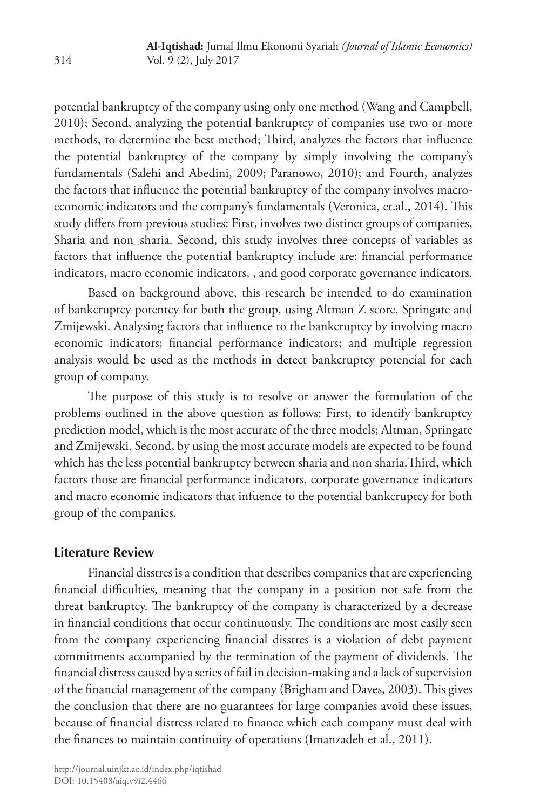potential bankruptcy of the company using only one method (Wang and Campbell, 2010); Second, analyzing the potential bankruptcy of companies use two or more methods, to determine the best method; Third, analyzes the factors that influence the potential bankruptcy of the company by simply involving the company's fundamentals (Salehi and Abedini, 2009; Paranowo, 2010); and Fourth, analyzes the factors that influence the potential bankruptcy of the company involves macroeconomic indicators and the company's fundamentals (Veronica, et.al., 2014). This study differs from previous studies: First, involves two distinct groups of companies, Sharia and non\_sharia. Second, this study involves three concepts of variables as factors that influence the potential bankruptcy include are: financial performance indicators, macro economic indicators, , and good corporate governance indicators.

Based on background above, this research be intended to do examination of bankcruptcy potentcy for both the group, using Altman Z score, Springate and Zmijewski. Analysing factors that influence to the bankcruptcy by involving macro economic indicators; financial performance indicators; and multiple regression analysis would be used as the methods in detect bankcruptcy potencial for each group of company.

The purpose of this study is to resolve or answer the formulation of the problems outlined in the above question as follows: First, to identify bankruptcy prediction model, which is the most accurate of the three models; Altman, Springate and Zmijewski. Second, by using the most accurate models are expected to be found which has the less potential bankruptcy between sharia and non sharia.Third, which factors those are financial performance indicators, corporate governance indicators and macro economic indicators that infuence to the potential bankcruptcy for both group of the companies.

### **Literature Review**

Financial disstres is a condition that describes companies that are experiencing financial difficulties, meaning that the company in a position not safe from the threat bankruptcy. The bankruptcy of the company is characterized by a decrease in financial conditions that occur continuously. The conditions are most easily seen from the company experiencing financial disstres is a violation of debt payment commitments accompanied by the termination of the payment of dividends. The financial distress caused by a series of fail in decision-making and a lack of supervision of the financial management of the company (Brigham and Daves, 2003). This gives the conclusion that there are no guarantees for large companies avoid these issues, because of financial distress related to finance which each company must deal with the finances to maintain continuity of operations (Imanzadeh et al., 2011).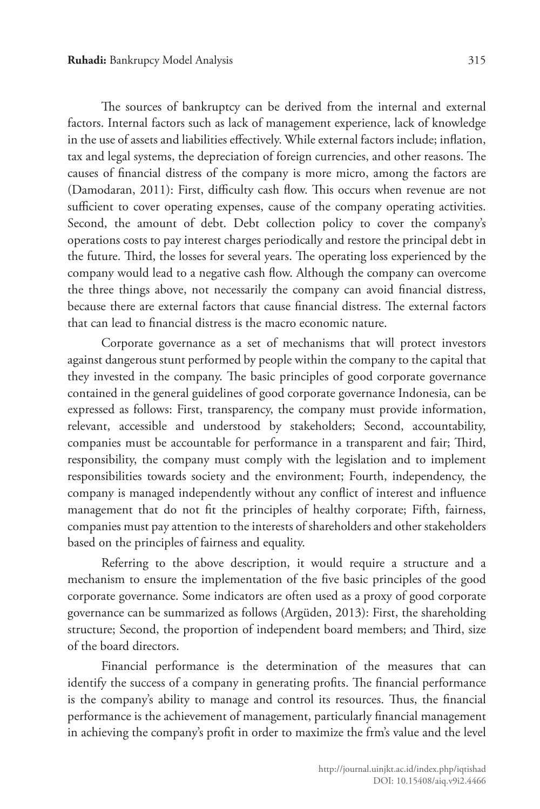The sources of bankruptcy can be derived from the internal and external factors. Internal factors such as lack of management experience, lack of knowledge in the use of assets and liabilities effectively. While external factors include; inflation,

tax and legal systems, the depreciation of foreign currencies, and other reasons. The causes of financial distress of the company is more micro, among the factors are (Damodaran, 2011): First, difficulty cash flow. This occurs when revenue are not sufficient to cover operating expenses, cause of the company operating activities. Second, the amount of debt. Debt collection policy to cover the company's operations costs to pay interest charges periodically and restore the principal debt in the future. Third, the losses for several years. The operating loss experienced by the company would lead to a negative cash flow. Although the company can overcome the three things above, not necessarily the company can avoid financial distress, because there are external factors that cause financial distress. The external factors that can lead to financial distress is the macro economic nature.

Corporate governance as a set of mechanisms that will protect investors against dangerous stunt performed by people within the company to the capital that they invested in the company. The basic principles of good corporate governance contained in the general guidelines of good corporate governance Indonesia, can be expressed as follows: First, transparency, the company must provide information, relevant, accessible and understood by stakeholders; Second, accountability, companies must be accountable for performance in a transparent and fair; Third, responsibility, the company must comply with the legislation and to implement responsibilities towards society and the environment; Fourth, independency, the company is managed independently without any conflict of interest and influence management that do not fit the principles of healthy corporate; Fifth, fairness, companies must pay attention to the interests of shareholders and other stakeholders based on the principles of fairness and equality.

Referring to the above description, it would require a structure and a mechanism to ensure the implementation of the five basic principles of the good corporate governance. Some indicators are often used as a proxy of good corporate governance can be summarized as follows (Argüden, 2013): First, the shareholding structure; Second, the proportion of independent board members; and Third, size of the board directors.

Financial performance is the determination of the measures that can identify the success of a company in generating profits. The financial performance is the company's ability to manage and control its resources. Thus, the financial performance is the achievement of management, particularly financial management in achieving the company's profit in order to maximize the frm's value and the level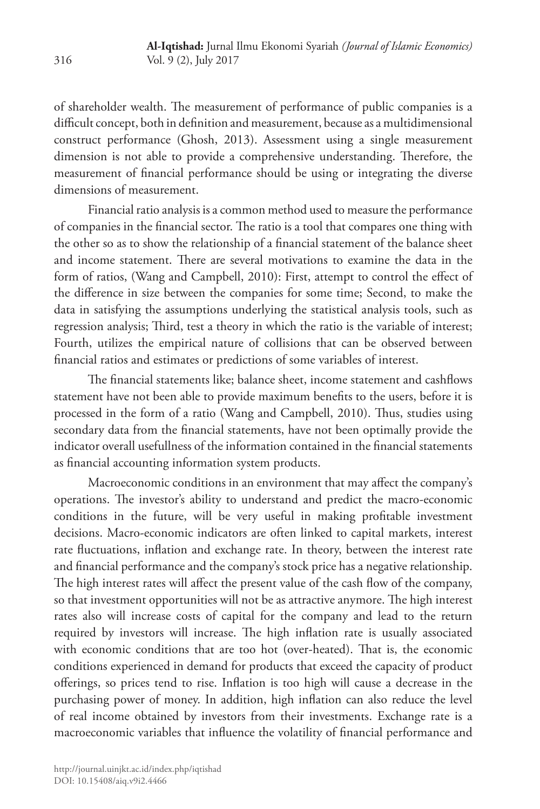of shareholder wealth. The measurement of performance of public companies is a difficult concept, both in definition and measurement, because as a multidimensional construct performance (Ghosh, 2013). Assessment using a single measurement dimension is not able to provide a comprehensive understanding. Therefore, the measurement of financial performance should be using or integrating the diverse dimensions of measurement.

Financial ratio analysis is a common method used to measure the performance of companies in the financial sector. The ratio is a tool that compares one thing with the other so as to show the relationship of a financial statement of the balance sheet and income statement. There are several motivations to examine the data in the form of ratios, (Wang and Campbell, 2010): First, attempt to control the effect of the difference in size between the companies for some time; Second, to make the data in satisfying the assumptions underlying the statistical analysis tools, such as regression analysis; Third, test a theory in which the ratio is the variable of interest; Fourth, utilizes the empirical nature of collisions that can be observed between financial ratios and estimates or predictions of some variables of interest.

The financial statements like; balance sheet, income statement and cashflows statement have not been able to provide maximum benefits to the users, before it is processed in the form of a ratio (Wang and Campbell, 2010). Thus, studies using secondary data from the financial statements, have not been optimally provide the indicator overall usefullness of the information contained in the financial statements as financial accounting information system products.

Macroeconomic conditions in an environment that may affect the company's operations. The investor's ability to understand and predict the macro-economic conditions in the future, will be very useful in making profitable investment decisions. Macro-economic indicators are often linked to capital markets, interest rate fluctuations, inflation and exchange rate. In theory, between the interest rate and financial performance and the company's stock price has a negative relationship. The high interest rates will affect the present value of the cash flow of the company, so that investment opportunities will not be as attractive anymore. The high interest rates also will increase costs of capital for the company and lead to the return required by investors will increase. The high inflation rate is usually associated with economic conditions that are too hot (over-heated). That is, the economic conditions experienced in demand for products that exceed the capacity of product offerings, so prices tend to rise. Inflation is too high will cause a decrease in the purchasing power of money. In addition, high inflation can also reduce the level of real income obtained by investors from their investments. Exchange rate is a macroeconomic variables that influence the volatility of financial performance and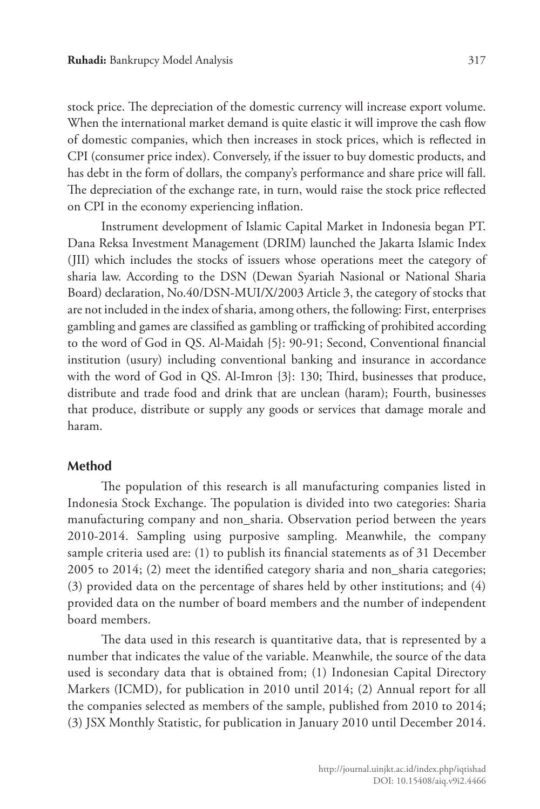stock price. The depreciation of the domestic currency will increase export volume. When the international market demand is quite elastic it will improve the cash flow of domestic companies, which then increases in stock prices, which is reflected in CPI (consumer price index). Conversely, if the issuer to buy domestic products, and has debt in the form of dollars, the company's performance and share price will fall. The depreciation of the exchange rate, in turn, would raise the stock price reflected on CPI in the economy experiencing inflation.

Instrument development of Islamic Capital Market in Indonesia began PT. Dana Reksa Investment Management (DRIM) launched the Jakarta Islamic Index (JII) which includes the stocks of issuers whose operations meet the category of sharia law. According to the DSN (Dewan Syariah Nasional or National Sharia Board) declaration, No.40/DSN-MUI/X/2003 Article 3, the category of stocks that are not included in the index of sharia, among others, the following: First, enterprises gambling and games are classified as gambling or trafficking of prohibited according to the word of God in QS. Al-Maidah {5}: 90-91; Second, Conventional financial institution (usury) including conventional banking and insurance in accordance with the word of God in QS. Al-Imron {3}: 130; Third, businesses that produce, distribute and trade food and drink that are unclean (haram); Fourth, businesses that produce, distribute or supply any goods or services that damage morale and haram.

#### **Method**

The population of this research is all manufacturing companies listed in Indonesia Stock Exchange. The population is divided into two categories: Sharia manufacturing company and non\_sharia. Observation period between the years 2010-2014. Sampling using purposive sampling. Meanwhile, the company sample criteria used are: (1) to publish its financial statements as of 31 December 2005 to 2014; (2) meet the identified category sharia and non\_sharia categories; (3) provided data on the percentage of shares held by other institutions; and (4) provided data on the number of board members and the number of independent board members.

The data used in this research is quantitative data, that is represented by a number that indicates the value of the variable. Meanwhile, the source of the data used is secondary data that is obtained from; (1) Indonesian Capital Directory Markers (ICMD), for publication in 2010 until 2014; (2) Annual report for all the companies selected as members of the sample, published from 2010 to 2014; (3) JSX Monthly Statistic, for publication in January 2010 until December 2014.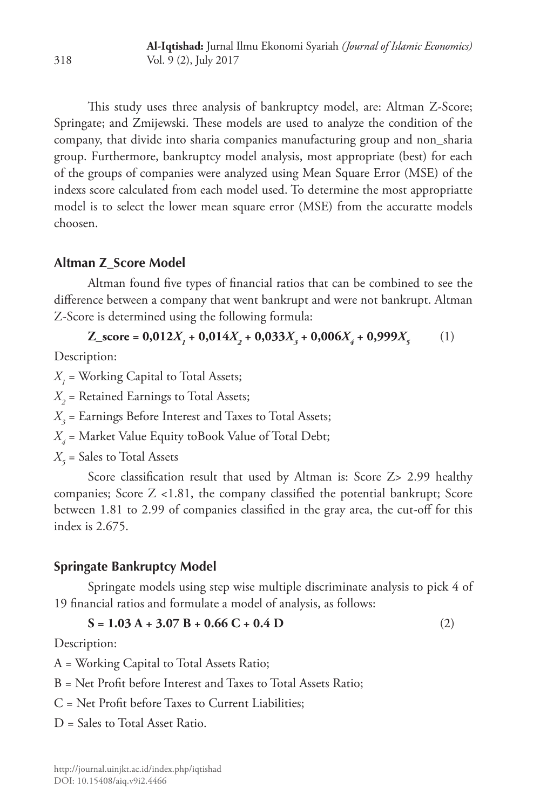This study uses three analysis of bankruptcy model, are: Altman Z-Score; Springate; and Zmijewski. These models are used to analyze the condition of the company, that divide into sharia companies manufacturing group and non\_sharia group. Furthermore, bankruptcy model analysis, most appropriate (best) for each of the groups of companies were analyzed using Mean Square Error (MSE) of the indexs score calculated from each model used. To determine the most appropriatte model is to select the lower mean square error (MSE) from the accuratte models choosen.

# **Altman Z\_Score Model**

Altman found five types of financial ratios that can be combined to see the difference between a company that went bankrupt and were not bankrupt. Altman Z-Score is determined using the following formula:

 $Z\_score = 0,012X_1 + 0,014X_2 + 0,033X_3 + 0,006X_4 + 0,999X_5$  (1)

Description:

 $X_{\textit{l}}$  = Working Capital to Total Assets;

 $X_{2}$  = Retained Earnings to Total Assets;

 $X_{3}$  = Earnings Before Interest and Taxes to Total Assets;

*X4* = Market Value Equity toBook Value of Total Debt;

 $X_{5}$  = Sales to Total Assets

Score classification result that used by Altman is: Score Z> 2.99 healthy companies; Score Z <1.81, the company classified the potential bankrupt; Score between 1.81 to 2.99 of companies classified in the gray area, the cut-off for this index is 2.675.

# **Springate Bankruptcy Model**

Springate models using step wise multiple discriminate analysis to pick 4 of 19 financial ratios and formulate a model of analysis, as follows:

 $S = 1.03 A + 3.07 B + 0.66 C + 0.4 D$  (2)

Description:

A = Working Capital to Total Assets Ratio;

B = Net Profit before Interest and Taxes to Total Assets Ratio;

- C = Net Profit before Taxes to Current Liabilities;
- D = Sales to Total Asset Ratio.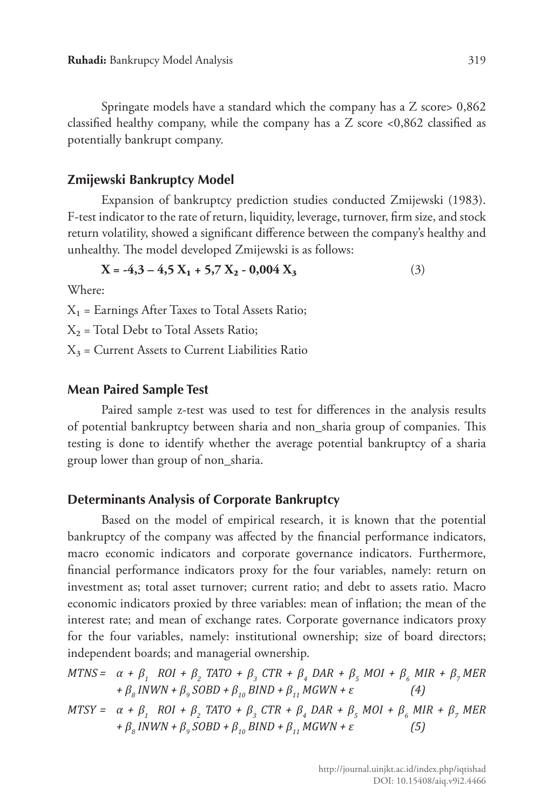Springate models have a standard which the company has a Z score> 0,862 classified healthy company, while the company has a Z score <0,862 classified as potentially bankrupt company.

#### **Zmijewski Bankruptcy Model**

Expansion of bankruptcy prediction studies conducted Zmijewski (1983). F-test indicator to the rate of return, liquidity, leverage, turnover, firm size, and stock return volatility, showed a significant difference between the company's healthy and unhealthy. The model developed Zmijewski is as follows:

$$
X = -4,3 - 4,5 X1 + 5,7 X2 - 0,004 X3
$$
 (3)

Where:

 $X_1$  = Earnings After Taxes to Total Assets Ratio;

 $X_2$  = Total Debt to Total Assets Ratio;

 $X_3$  = Current Assets to Current Liabilities Ratio

#### **Mean Paired Sample Test**

Paired sample z-test was used to test for differences in the analysis results of potential bankruptcy between sharia and non\_sharia group of companies. This testing is done to identify whether the average potential bankruptcy of a sharia group lower than group of non\_sharia.

#### **Determinants Analysis of Corporate Bankruptcy**

Based on the model of empirical research, it is known that the potential bankruptcy of the company was affected by the financial performance indicators, macro economic indicators and corporate governance indicators. Furthermore, financial performance indicators proxy for the four variables, namely: return on investment as; total asset turnover; current ratio; and debt to assets ratio. Macro economic indicators proxied by three variables: mean of inflation; the mean of the interest rate; and mean of exchange rates. Corporate governance indicators proxy for the four variables, namely: institutional ownership; size of board directors; independent boards; and managerial ownership.

 $MTNS = \alpha + \beta_1$   $ROI + \beta_2$   $TATO + \beta_3$   $CTR + \beta_4$   $DAR + \beta_5$   $MOI + \beta_6$   $MIR + \beta_7$   $MER$ *+ β<sup>8</sup> INWN + β<sup>9</sup> SOBD + β10 BIND + β11 MGWN + ε (4)*

 $MTSY = \alpha + \beta_1$   $ROI + \beta_2$   $TATO + \beta_3$   $CTR + \beta_4$   $DAR + \beta_5$   $MOI + \beta_6$   $MIR + \beta_7$   $MER$ *+ β<sup>8</sup> INWN + β<sup>9</sup> SOBD + β10 BIND + β11 MGWN + ε (5)*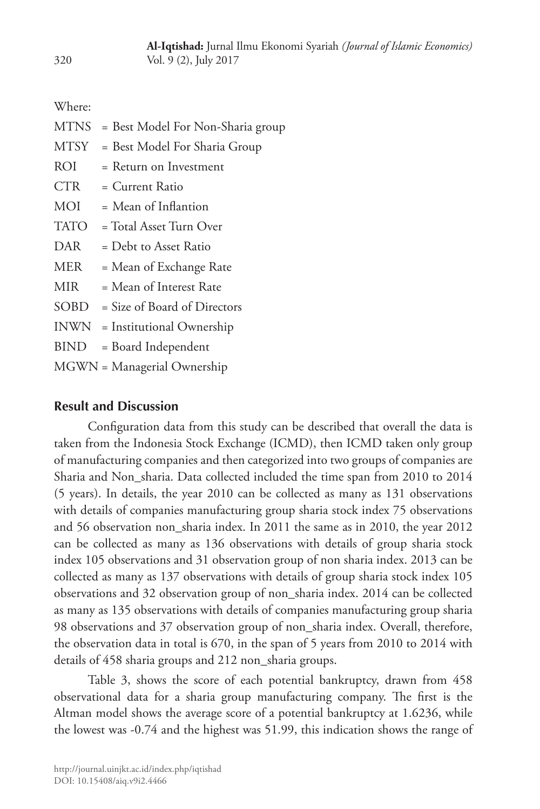Where:

| <b>MTNS</b> | = Best Model For Non-Sharia group |
|-------------|-----------------------------------|
| MTSY        | = Best Model For Sharia Group     |
| ROI         | = Return on Investment            |
| CTR         | = Current Ratio                   |
| MOI         | $=$ Mean of Inflantion            |
| TATO        | = Total Asset Turn Over           |
| DAR         | $=$ Debt to Asset Ratio           |
| <b>MER</b>  | = Mean of Exchange Rate           |
| MIR         | = Mean of Interest Rate           |
| SOBD        | = Size of Board of Directors      |
| <b>INWN</b> | = Institutional Ownership         |
| BIND        | = Board Independent               |
|             | MGWN = Managerial Ownership       |

### **Result and Discussion**

Configuration data from this study can be described that overall the data is taken from the Indonesia Stock Exchange (ICMD), then ICMD taken only group of manufacturing companies and then categorized into two groups of companies are Sharia and Non\_sharia. Data collected included the time span from 2010 to 2014 (5 years). In details, the year 2010 can be collected as many as 131 observations with details of companies manufacturing group sharia stock index 75 observations and 56 observation non\_sharia index. In 2011 the same as in 2010, the year 2012 can be collected as many as 136 observations with details of group sharia stock index 105 observations and 31 observation group of non sharia index. 2013 can be collected as many as 137 observations with details of group sharia stock index 105 observations and 32 observation group of non\_sharia index. 2014 can be collected as many as 135 observations with details of companies manufacturing group sharia 98 observations and 37 observation group of non\_sharia index. Overall, therefore, the observation data in total is 670, in the span of 5 years from 2010 to 2014 with details of 458 sharia groups and 212 non\_sharia groups.

Table 3, shows the score of each potential bankruptcy, drawn from 458 observational data for a sharia group manufacturing company. The first is the Altman model shows the average score of a potential bankruptcy at 1.6236, while the lowest was -0.74 and the highest was 51.99, this indication shows the range of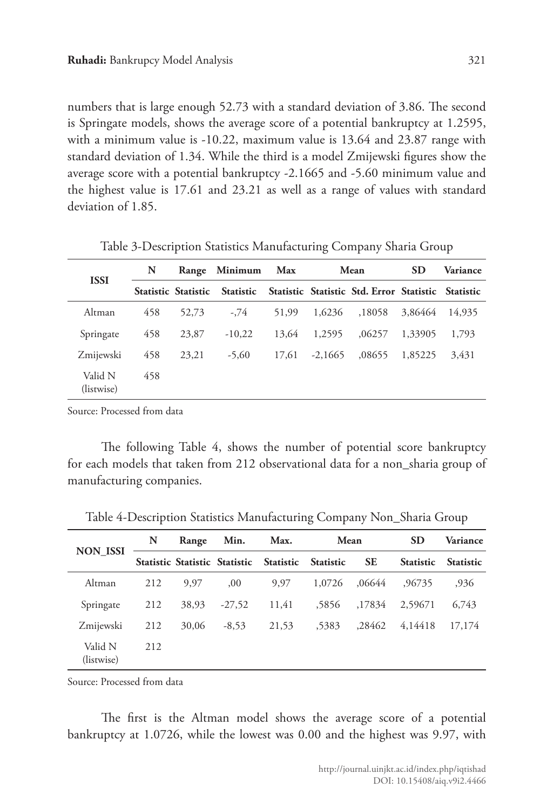numbers that is large enough 52.73 with a standard deviation of 3.86. The second is Springate models, shows the average score of a potential bankruptcy at 1.2595, with a minimum value is -10.22, maximum value is 13.64 and 23.87 range with standard deviation of 1.34. While the third is a model Zmijewski figures show the average score with a potential bankruptcy -2.1665 and -5.60 minimum value and the highest value is 17.61 and 23.21 as well as a range of values with standard deviation of 1.85.

| <b>ISSI</b>           | N<br>Range |                            | Minimum          | <b>Max</b> |           | Mean                                               | <b>SD</b> | <b>Variance</b> |  |
|-----------------------|------------|----------------------------|------------------|------------|-----------|----------------------------------------------------|-----------|-----------------|--|
|                       |            | <b>Statistic Statistic</b> | <b>Statistic</b> |            |           | Statistic Statistic Std. Error Statistic Statistic |           |                 |  |
| Altman                | 458        | 52,73                      | $-.74$           | 51.99      | 1,6236    | .18058                                             | 3,86464   | 14,935          |  |
| Springate             | 458        | 23,87                      | $-10.22$         | 13.64      | 1,2595    | .06257                                             | 1,33905   | 1.793           |  |
| Zmijewski             | 458        | 23,21                      | $-5,60$          | 17,61      | $-2,1665$ | .08655                                             | 1,85225   | 3.431           |  |
| Valid N<br>(listwise) | 458        |                            |                  |            |           |                                                    |           |                 |  |

Table 3-Description Statistics Manufacturing Company Sharia Group

Source: Processed from data

The following Table 4, shows the number of potential score bankruptcy for each models that taken from 212 observational data for a non\_sharia group of manufacturing companies.

|                       | N   | Range | Min.     | Max.                                              | Mean   |           | <b>SD</b>        | Variance         |  |
|-----------------------|-----|-------|----------|---------------------------------------------------|--------|-----------|------------------|------------------|--|
| <b>NON ISSI</b>       |     |       |          | Statistic Statistic Statistic Statistic Statistic |        | <b>SE</b> | <b>Statistic</b> | <b>Statistic</b> |  |
| Altman                | 212 | 9,97  | ,00      | 9,97                                              | 1,0726 | .06644    | .96735           | ,936             |  |
| Springate             | 212 | 38,93 | $-27,52$ | 11,41                                             | .5856  | .17834    | 2,59671          | 6.743            |  |
| Zmijewski             | 212 | 30,06 | $-8,53$  | 21.53                                             | 5383   | .28462    | 4,14418          | 17,174           |  |
| Valid N<br>(listwise) | 212 |       |          |                                                   |        |           |                  |                  |  |

Table 4-Description Statistics Manufacturing Company Non\_Sharia Group

Source: Processed from data

The first is the Altman model shows the average score of a potential bankruptcy at 1.0726, while the lowest was 0.00 and the highest was 9.97, with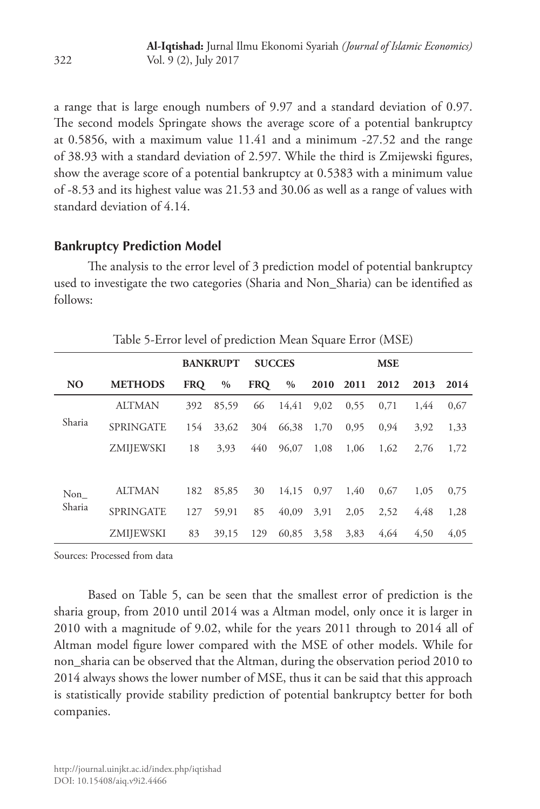a range that is large enough numbers of 9.97 and a standard deviation of 0.97. The second models Springate shows the average score of a potential bankruptcy at 0.5856, with a maximum value 11.41 and a minimum -27.52 and the range of 38.93 with a standard deviation of 2.597. While the third is Zmijewski figures, show the average score of a potential bankruptcy at 0.5383 with a minimum value of -8.53 and its highest value was 21.53 and 30.06 as well as a range of values with standard deviation of 4.14.

### **Bankruptcy Prediction Model**

The analysis to the error level of 3 prediction model of potential bankruptcy used to investigate the two categories (Sharia and Non\_Sharia) can be identified as follows:

| Table 5-Error level of prediction Mean Square Error (MSE) |                  |                 |               |               |       |            |      |      |      |      |
|-----------------------------------------------------------|------------------|-----------------|---------------|---------------|-------|------------|------|------|------|------|
|                                                           |                  | <b>BANKRUPT</b> |               | <b>SUCCES</b> |       | <b>MSE</b> |      |      |      |      |
| <b>NO</b>                                                 | <b>METHODS</b>   | <b>FRO</b>      | $\frac{0}{0}$ | <b>FRO</b>    | $\%$  | 2010       | 2011 | 2012 | 2013 | 2014 |
|                                                           | <b>ALTMAN</b>    | 392             | 85,59         | 66            | 14.41 | 9.02       | 0.55 | 0.71 | 1.44 | 0,67 |
| Sharia                                                    | <b>SPRINGATE</b> | 154             | 33.62         | 304           | 66,38 | 1,70       | 0,95 | 0.94 | 3.92 | 1,33 |
|                                                           | ZMIJEWSKI        | 18              | 3.93          | 440           | 96,07 | 1,08       | 1.06 | 1.62 | 2.76 | 1,72 |
|                                                           |                  |                 |               |               |       |            |      |      |      |      |
| Non                                                       | <b>ALTMAN</b>    | 182             | 85,85         | 30            | 14.15 | 0.97       | 1.40 | 0.67 | 1,05 | 0,75 |
| Sharia                                                    | <b>SPRINGATE</b> | 127             | 59,91         | 85            | 40.09 | 3.91       | 2.05 | 2,52 | 4.48 | 1,28 |
|                                                           | ZMIJEWSKI        | 83              | 39,15         | 129           | 60.85 | 3,58       | 3.83 | 4.64 | 4.50 | 4.05 |

Sources: Processed from data

Based on Table 5, can be seen that the smallest error of prediction is the sharia group, from 2010 until 2014 was a Altman model, only once it is larger in 2010 with a magnitude of 9.02, while for the years 2011 through to 2014 all of Altman model figure lower compared with the MSE of other models. While for non\_sharia can be observed that the Altman, during the observation period 2010 to 2014 always shows the lower number of MSE, thus it can be said that this approach is statistically provide stability prediction of potential bankruptcy better for both companies.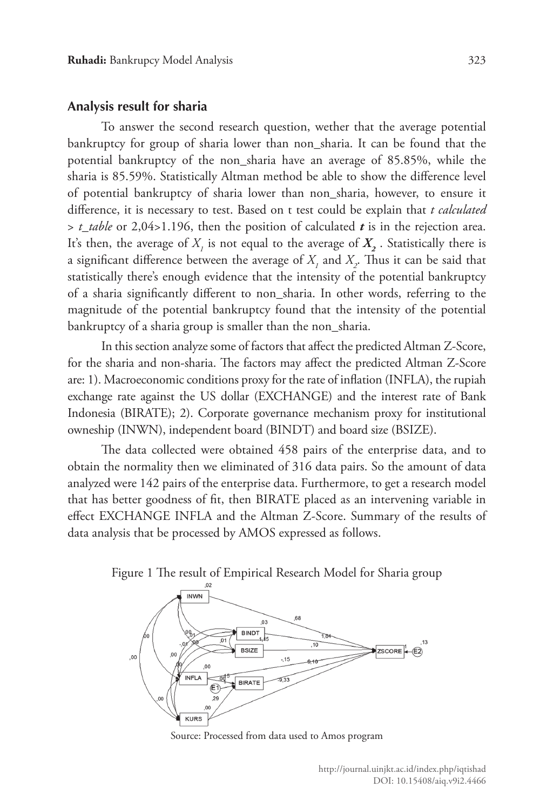#### **Analysis result for sharia**

To answer the second research question, wether that the average potential bankruptcy for group of sharia lower than non\_sharia. It can be found that the potential bankruptcy of the non\_sharia have an average of 85.85%, while the sharia is 85.59%. Statistically Altman method be able to show the difference level of potential bankruptcy of sharia lower than non\_sharia, however, to ensure it difference, it is necessary to test. Based on t test could be explain that *t calculated*  > *t\_table* or 2,04>1.196, then the position of calculated *t* is in the rejection area. It's then, the average of  $X_{\overline{I}}$  is not equal to the average of  $X_{\overline{2}}$  . Statistically there is a significant difference between the average of  $X_i$  and  $X_2$ . Thus it can be said that statistically there's enough evidence that the intensity of the potential bankruptcy of a sharia significantly different to non\_sharia. In other words, referring to the magnitude of the potential bankruptcy found that the intensity of the potential bankruptcy of a sharia group is smaller than the non\_sharia.

In this section analyze some of factors that affect the predicted Altman Z-Score, for the sharia and non-sharia. The factors may affect the predicted Altman Z-Score are: 1). Macroeconomic conditions proxy for the rate of inflation (INFLA), the rupiah exchange rate against the US dollar (EXCHANGE) and the interest rate of Bank Indonesia (BIRATE); 2). Corporate governance mechanism proxy for institutional owneship (INWN), independent board (BINDT) and board size (BSIZE).

The data collected were obtained 458 pairs of the enterprise data, and to obtain the normality then we eliminated of 316 data pairs. So the amount of data analyzed were 142 pairs of the enterprise data. Furthermore, to get a research model that has better goodness of fit, then BIRATE placed as an intervening variable in effect EXCHANGE INFLA and the Altman Z-Score. Summary of the results of data analysis that be processed by AMOS expressed as follows.



Source: Processed from data used to Amos program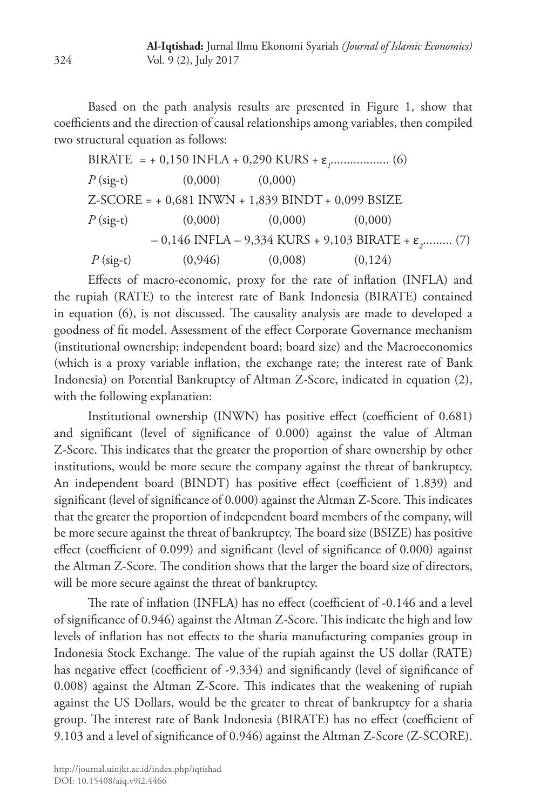Based on the path analysis results are presented in Figure 1, show that coefficients and the direction of causal relationships among variables, then compiled two structural equation as follows:

BIRATE = + 0,150 INFLA + 0,290 KURS + 
$$
\varepsilon_r
$$
................. (6)  
\n $P$  (sig-t) (0,000) (0,000)  
\nZ-SCORE = + 0,681 INWN + 1,839 BINDT + 0,099 BSIZE  
\n $P$  (sig-t) (0,000) (0,000) (0,000)  
\n- 0,146 INFLA - 9,334 KURS + 9,103 BIRATE +  $\varepsilon_2$ .......... (7)  
\n $P$  (sig-t) (0,946) (0,008) (0,124)

Effects of macro-economic, proxy for the rate of inflation (INFLA) and the rupiah (RATE) to the interest rate of Bank Indonesia (BIRATE) contained in equation (6), is not discussed. The causality analysis are made to developed a goodness of fit model. Assessment of the effect Corporate Governance mechanism (institutional ownership; independent board; board size) and the Macroeconomics (which is a proxy variable inflation, the exchange rate; the interest rate of Bank Indonesia) on Potential Bankruptcy of Altman Z-Score, indicated in equation (2), with the following explanation:

Institutional ownership (INWN) has positive effect (coefficient of 0.681) and significant (level of significance of 0.000) against the value of Altman Z-Score. This indicates that the greater the proportion of share ownership by other institutions, would be more secure the company against the threat of bankruptcy. An independent board (BINDT) has positive effect (coefficient of 1.839) and significant (level of significance of 0.000) against the Altman Z-Score. This indicates that the greater the proportion of independent board members of the company, will be more secure against the threat of bankruptcy. The board size (BSIZE) has positive effect (coefficient of 0.099) and significant (level of significance of 0.000) against the Altman Z-Score. The condition shows that the larger the board size of directors, will be more secure against the threat of bankruptcy.

The rate of inflation (INFLA) has no effect (coefficient of -0.146 and a level of significance of 0.946) against the Altman Z-Score. This indicate the high and low levels of inflation has not effects to the sharia manufacturing companies group in Indonesia Stock Exchange. The value of the rupiah against the US dollar (RATE) has negative effect (coefficient of -9.334) and significantly (level of significance of 0.008) against the Altman Z-Score. This indicates that the weakening of rupiah against the US Dollars, would be the greater to threat of bankruptcy for a sharia group. The interest rate of Bank Indonesia (BIRATE) has no effect (coefficient of 9.103 and a level of significance of 0.946) against the Altman Z-Score (Z-SCORE).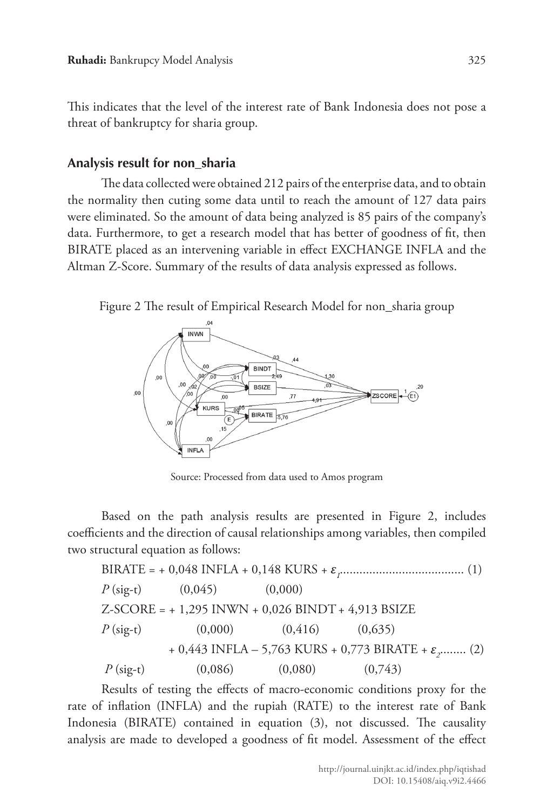This indicates that the level of the interest rate of Bank Indonesia does not pose a threat of bankruptcy for sharia group.

# **Analysis result for non\_sharia**

The data collected were obtained 212 pairs of the enterprise data, and to obtain the normality then cuting some data until to reach the amount of 127 data pairs were eliminated. So the amount of data being analyzed is 85 pairs of the company's data. Furthermore, to get a research model that has better of goodness of fit, then BIRATE placed as an intervening variable in effect EXCHANGE INFLA and the Altman Z-Score. Summary of the results of data analysis expressed as follows.

Figure 2 The result of Empirical Research Model for non\_sharia group



Source: Processed from data used to Amos program

Based on the path analysis results are presented in Figure 2, includes coefficients and the direction of causal relationships among variables, then compiled two structural equation as follows:

BIRATE = + 0,048 INFLA + 0,148 KURS + 
$$
\varepsilon
$$
<sub>*f*</sub>................. (1)  
\n $P$  (sig-t) (0,045) (0,000)  
\nZ-SCORE = + 1,295 INWN + 0,026 BINDT + 4,913 BSIZE  
\n $P$  (sig-t) (0,000) (0,416) (0,635)  
\n+ 0,443 INFLA – 5,763 KURS + 0,773 BIRATE +  $\varepsilon$ <sub>*g*</sub>........ (2)  
\n $P$  (sig-t) (0,086) (0,080) (0,743)

Results of testing the effects of macro-economic conditions proxy for the rate of inflation (INFLA) and the rupiah (RATE) to the interest rate of Bank Indonesia (BIRATE) contained in equation (3), not discussed. The causality analysis are made to developed a goodness of fit model. Assessment of the effect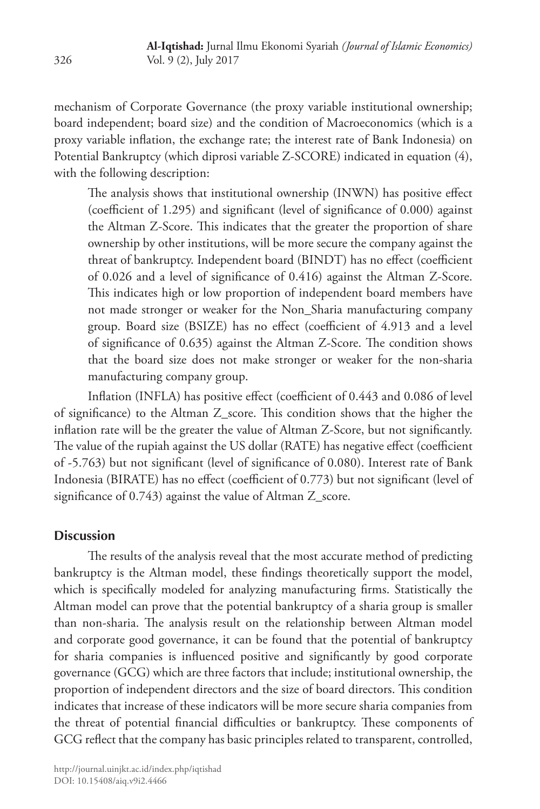mechanism of Corporate Governance (the proxy variable institutional ownership; board independent; board size) and the condition of Macroeconomics (which is a proxy variable inflation, the exchange rate; the interest rate of Bank Indonesia) on Potential Bankruptcy (which diprosi variable Z-SCORE) indicated in equation (4), with the following description:

The analysis shows that institutional ownership (INWN) has positive effect (coefficient of 1.295) and significant (level of significance of 0.000) against the Altman Z-Score. This indicates that the greater the proportion of share ownership by other institutions, will be more secure the company against the threat of bankruptcy. Independent board (BINDT) has no effect (coefficient of 0.026 and a level of significance of 0.416) against the Altman Z-Score. This indicates high or low proportion of independent board members have not made stronger or weaker for the Non\_Sharia manufacturing company group. Board size (BSIZE) has no effect (coefficient of 4.913 and a level of significance of 0.635) against the Altman Z-Score. The condition shows that the board size does not make stronger or weaker for the non-sharia manufacturing company group.

Inflation (INFLA) has positive effect (coefficient of 0.443 and 0.086 of level of significance) to the Altman Z\_score. This condition shows that the higher the inflation rate will be the greater the value of Altman Z-Score, but not significantly. The value of the rupiah against the US dollar (RATE) has negative effect (coefficient of -5.763) but not significant (level of significance of 0.080). Interest rate of Bank Indonesia (BIRATE) has no effect (coefficient of 0.773) but not significant (level of significance of 0.743) against the value of Altman Z\_score.

# **Discussion**

The results of the analysis reveal that the most accurate method of predicting bankruptcy is the Altman model, these findings theoretically support the model, which is specifically modeled for analyzing manufacturing firms. Statistically the Altman model can prove that the potential bankruptcy of a sharia group is smaller than non-sharia. The analysis result on the relationship between Altman model and corporate good governance, it can be found that the potential of bankruptcy for sharia companies is influenced positive and significantly by good corporate governance (GCG) which are three factors that include; institutional ownership, the proportion of independent directors and the size of board directors. This condition indicates that increase of these indicators will be more secure sharia companies from the threat of potential financial difficulties or bankruptcy. These components of GCG reflect that the company has basic principles related to transparent, controlled,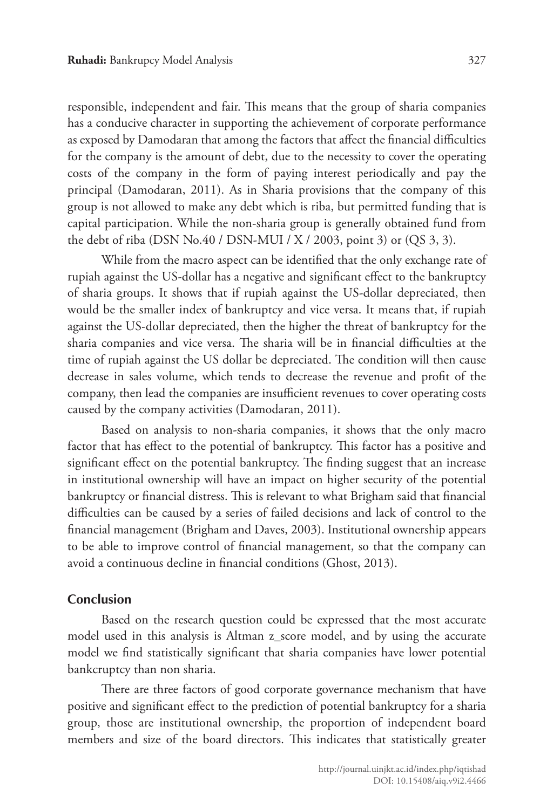responsible, independent and fair. This means that the group of sharia companies has a conducive character in supporting the achievement of corporate performance as exposed by Damodaran that among the factors that affect the financial difficulties for the company is the amount of debt, due to the necessity to cover the operating costs of the company in the form of paying interest periodically and pay the principal (Damodaran, 2011). As in Sharia provisions that the company of this group is not allowed to make any debt which is riba, but permitted funding that is capital participation. While the non-sharia group is generally obtained fund from the debt of riba (DSN No.40 / DSN-MUI / X / 2003, point 3) or (QS 3, 3).

While from the macro aspect can be identified that the only exchange rate of rupiah against the US-dollar has a negative and significant effect to the bankruptcy of sharia groups. It shows that if rupiah against the US-dollar depreciated, then would be the smaller index of bankruptcy and vice versa. It means that, if rupiah against the US-dollar depreciated, then the higher the threat of bankruptcy for the sharia companies and vice versa. The sharia will be in financial difficulties at the time of rupiah against the US dollar be depreciated. The condition will then cause decrease in sales volume, which tends to decrease the revenue and profit of the company, then lead the companies are insufficient revenues to cover operating costs caused by the company activities (Damodaran, 2011).

Based on analysis to non-sharia companies, it shows that the only macro factor that has effect to the potential of bankruptcy. This factor has a positive and significant effect on the potential bankruptcy. The finding suggest that an increase in institutional ownership will have an impact on higher security of the potential bankruptcy or financial distress. This is relevant to what Brigham said that financial difficulties can be caused by a series of failed decisions and lack of control to the financial management (Brigham and Daves, 2003). Institutional ownership appears to be able to improve control of financial management, so that the company can avoid a continuous decline in financial conditions (Ghost, 2013).

#### **Conclusion**

Based on the research question could be expressed that the most accurate model used in this analysis is Altman z\_score model, and by using the accurate model we find statistically significant that sharia companies have lower potential bankcruptcy than non sharia.

There are three factors of good corporate governance mechanism that have positive and significant effect to the prediction of potential bankruptcy for a sharia group, those are institutional ownership, the proportion of independent board members and size of the board directors. This indicates that statistically greater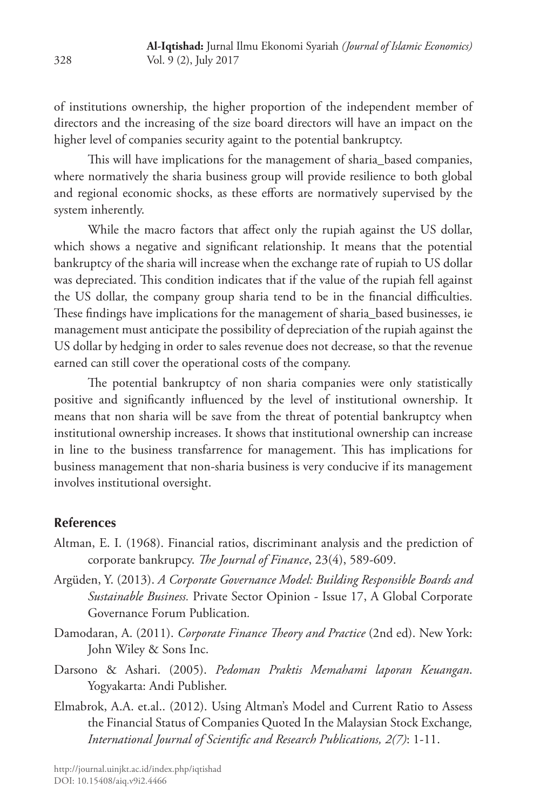of institutions ownership, the higher proportion of the independent member of directors and the increasing of the size board directors will have an impact on the higher level of companies security againt to the potential bankruptcy.

This will have implications for the management of sharia\_based companies, where normatively the sharia business group will provide resilience to both global and regional economic shocks, as these efforts are normatively supervised by the system inherently.

While the macro factors that affect only the rupiah against the US dollar, which shows a negative and significant relationship. It means that the potential bankruptcy of the sharia will increase when the exchange rate of rupiah to US dollar was depreciated. This condition indicates that if the value of the rupiah fell against the US dollar, the company group sharia tend to be in the financial difficulties. These findings have implications for the management of sharia\_based businesses, ie management must anticipate the possibility of depreciation of the rupiah against the US dollar by hedging in order to sales revenue does not decrease, so that the revenue earned can still cover the operational costs of the company.

The potential bankruptcy of non sharia companies were only statistically positive and significantly influenced by the level of institutional ownership. It means that non sharia will be save from the threat of potential bankruptcy when institutional ownership increases. It shows that institutional ownership can increase in line to the business transfarrence for management. This has implications for business management that non-sharia business is very conducive if its management involves institutional oversight.

# **References**

- Altman, E. I. (1968). Financial ratios, discriminant analysis and the prediction of corporate bankrupcy. *The Journal of Finance*, 23(4), 589-609.
- Argüden, Y. (2013). *A Corporate Governance Model: Building Responsible Boards and Sustainable Business.* Private Sector Opinion - Issue 17, A Global Corporate Governance Forum Publication*.*
- Damodaran, A. (2011). *Corporate Finance Theory and Practice* (2nd ed). New York: John Wiley & Sons Inc.
- Darsono & Ashari. (2005). *Pedoman Praktis Memahami laporan Keuangan*. Yogyakarta: Andi Publisher.
- Elmabrok, A.A. et.al.. (2012). Using Altman's Model and Current Ratio to Assess the Financial Status of Companies Quoted In the Malaysian Stock Exchange*, International Journal of Scientific and Research Publications, 2(7)*: 1-11.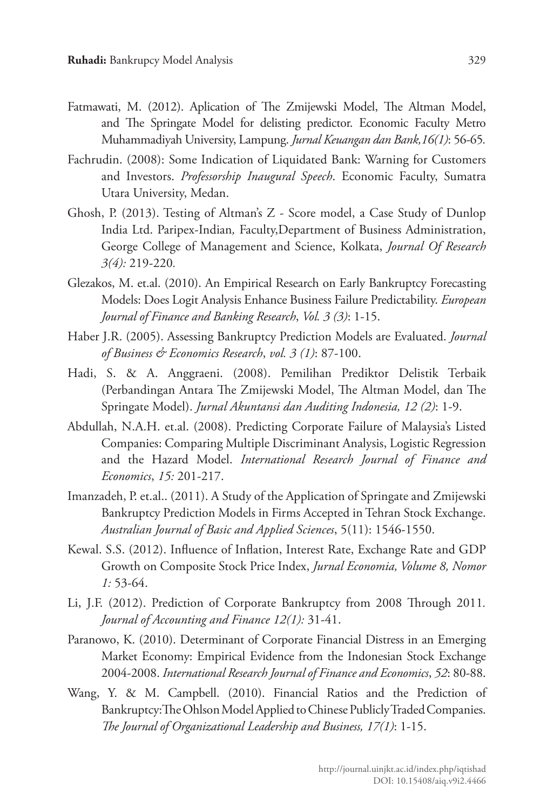- Fatmawati, M. (2012). Aplication of The Zmijewski Model, The Altman Model, and The Springate Model for delisting predictor. Economic Faculty Metro Muhammadiyah University, Lampung. *Jurnal Keuangan dan Bank,16(1)*: 56-65*.*
- Fachrudin. (2008): Some Indication of Liquidated Bank: Warning for Customers and Investors. *Professorship Inaugural Speech*. Economic Faculty, Sumatra Utara University, Medan.
- Ghosh, P. (2013). Testing of Altman's Z Score model, a Case Study of Dunlop India Ltd. Paripex-Indian*,* Faculty,Department of Business Administration, George College of Management and Science, Kolkata, *Journal Of Research 3(4):* 219-220*.*
- Glezakos, M. et.al. (2010). An Empirical Research on Early Bankruptcy Forecasting Models: Does Logit Analysis Enhance Business Failure Predictability. *European Journal of Finance and Banking Research*, *Vol. 3 (3)*: 1-15.
- Haber J.R. (2005). Assessing Bankruptcy Prediction Models are Evaluated. *Journal of Business & Economics Research*, *vol. 3 (1)*: 87-100.
- Hadi, S. & A. Anggraeni. (2008). Pemilihan Prediktor Delistik Terbaik (Perbandingan Antara The Zmijewski Model, The Altman Model, dan The Springate Model). *Jurnal Akuntansi dan Auditing Indonesia, 12 (2)*: 1-9.
- Abdullah, N.A.H. et.al. (2008). Predicting Corporate Failure of Malaysia's Listed Companies: Comparing Multiple Discriminant Analysis, Logistic Regression and the Hazard Model. *International Research Journal of Finance and Economics*, *15:* 201-217.
- Imanzadeh, P. et.al.. (2011). A Study of the Application of Springate and Zmijewski Bankruptcy Prediction Models in Firms Accepted in Tehran Stock Exchange. *Australian Journal of Basic and Applied Sciences*, 5(11): 1546-1550.
- Kewal. S.S. (2012). Influence of Inflation, Interest Rate, Exchange Rate and GDP Growth on Composite Stock Price Index, *Jurnal Economia, Volume 8, Nomor 1:* 53-64.
- Li, J.F. (2012). Prediction of Corporate Bankruptcy from 2008 Through 2011*. Journal of Accounting and Finance 12(1):* 31-41.
- Paranowo, K. (2010). Determinant of Corporate Financial Distress in an Emerging Market Economy: Empirical Evidence from the Indonesian Stock Exchange 2004-2008. *International Research Journal of Finance and Economics*, *52*: 80-88.
- Wang, Y. & M. Campbell. (2010). Financial Ratios and the Prediction of Bankruptcy:The Ohlson Model Applied to Chinese Publicly Traded Companies. *The Journal of Organizational Leadership and Business, 17(1)*: 1-15.